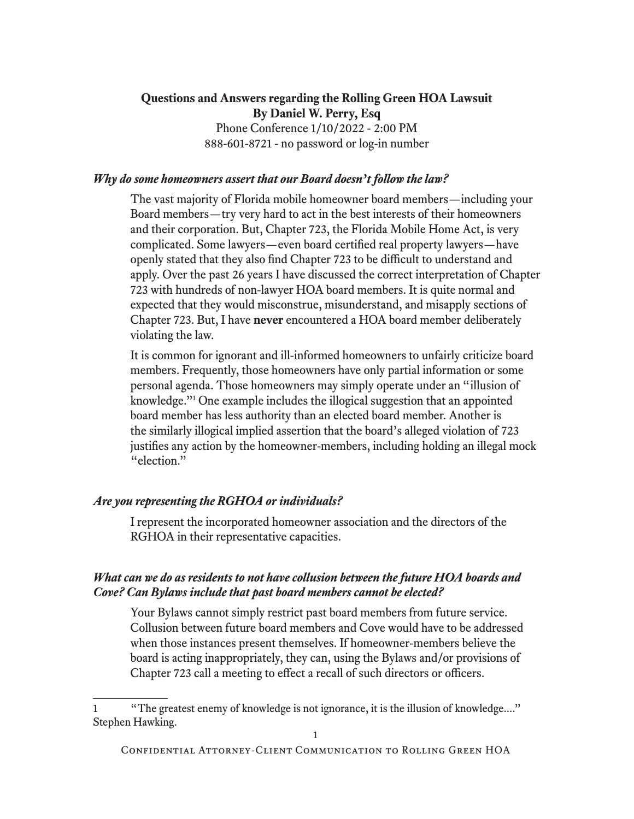### **Questions and Answers regarding the Rolling Green HOA Lawsuit By Daniel W. Perry, Esq** Phone Conference 1/10/2022 - 2:00 PM 888-601-8721 - no password or log-in number

#### *Why do some homeowners assert that our Board doesn't follow the law?*

 The vast majority of Florida mobile homeowner board members—including your Board members—try very hard to act in the best interests of their homeowners and their corporation. But, Chapter 723, the Florida Mobile Home Act, is very complicated. Some lawyers—even board certified real property lawyers—have openly stated that they also find Chapter 723 to be difficult to understand and apply. Over the past 26 years I have discussed the correct interpretation of Chapter 723 with hundreds of non-lawyer HOA board members. It is quite normal and expected that they would misconstrue, misunderstand, and misapply sections of Chapter 723. But, I have **never** encountered a HOA board member deliberately violating the law.

 It is common for ignorant and ill-informed homeowners to unfairly criticize board members. Frequently, those homeowners have only partial information or some personal agenda. Those homeowners may simply operate under an "illusion of knowledge."1 One example includes the illogical suggestion that an appointed board member has less authority than an elected board member. Another is the similarly illogical implied assertion that the board's alleged violation of 723 justifies any action by the homeowner-members, including holding an illegal mock "election."

#### *Are you representing the RGHOA or individuals?*

 I represent the incorporated homeowner association and the directors of the RGHOA in their representative capacities.

#### *What can we do as residents to not have collusion between the future HOA boards and Cove? Can Bylaws include that past board members cannot be elected?*

 Your Bylaws cannot simply restrict past board members from future service. Collusion between future board members and Cove would have to be addressed when those instances present themselves. If homeowner-members believe the board is acting inappropriately, they can, using the Bylaws and/or provisions of Chapter 723 call a meeting to effect a recall of such directors or officers.

<sup>1</sup> "The greatest enemy of knowledge is not ignorance, it is the illusion of knowledge...." Stephen Hawking.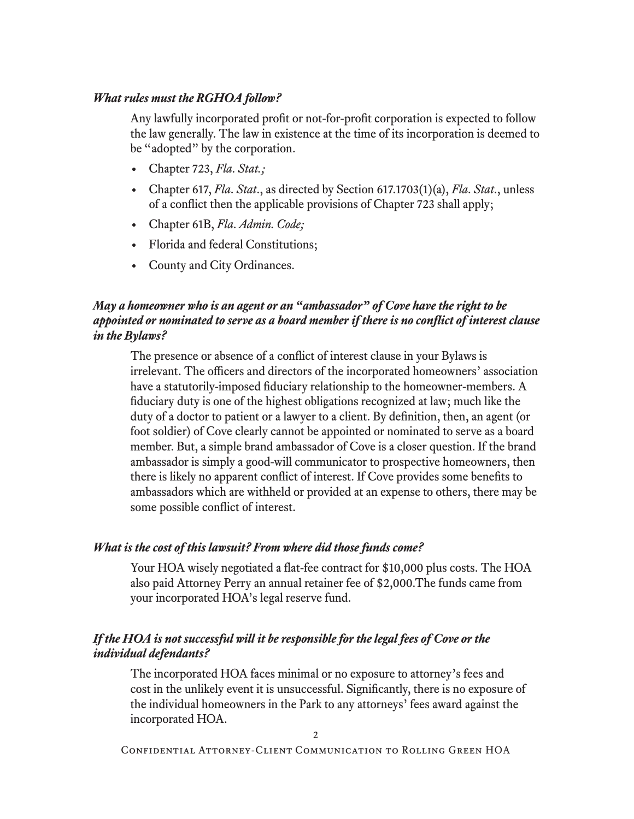#### *What rules must the RGHOA follow?*

 Any lawfully incorporated profit or not-for-profit corporation is expected to follow the law generally. The law in existence at the time of its incorporation is deemed to be "adopted" by the corporation.

- Chapter 723, *Fla. Stat.;*
- Chapter 617, *Fla. Stat*., as directed by Section 617.1703(1)(a), *Fla. Stat*., unless of a conflict then the applicable provisions of Chapter 723 shall apply;
- Chapter 61B, *Fla. Admin. Code;*
- Florida and federal Constitutions;
- County and City Ordinances.

## *May a homeowner who is an agent or an "ambassador" of Cove have the right to be appointed or nominated to serve as a board member if there is no conflict of interest clause in the Bylaws?*

 The presence or absence of a conflict of interest clause in your Bylaws is irrelevant. The officers and directors of the incorporated homeowners' association have a statutorily-imposed fiduciary relationship to the homeowner-members. A fiduciary duty is one of the highest obligations recognized at law; much like the duty of a doctor to patient or a lawyer to a client. By definition, then, an agent (or foot soldier) of Cove clearly cannot be appointed or nominated to serve as a board member. But, a simple brand ambassador of Cove is a closer question. If the brand ambassador is simply a good-will communicator to prospective homeowners, then there is likely no apparent conflict of interest. If Cove provides some benefits to ambassadors which are withheld or provided at an expense to others, there may be some possible conflict of interest.

#### *What is the cost of this lawsuit? From where did those funds come?*

 Your HOA wisely negotiated a flat-fee contract for \$10,000 plus costs. The HOA also paid Attorney Perry an annual retainer fee of \$2,000.The funds came from your incorporated HOA's legal reserve fund.

### *If the HOA is not successful will it be responsible for the legal fees of Cove or the individual defendants?*

 The incorporated HOA faces minimal or no exposure to attorney's fees and cost in the unlikely event it is unsuccessful. Significantly, there is no exposure of the individual homeowners in the Park to any attorneys' fees award against the incorporated HOA.

Confidential Attorney-Client Communication to Rolling Green HOA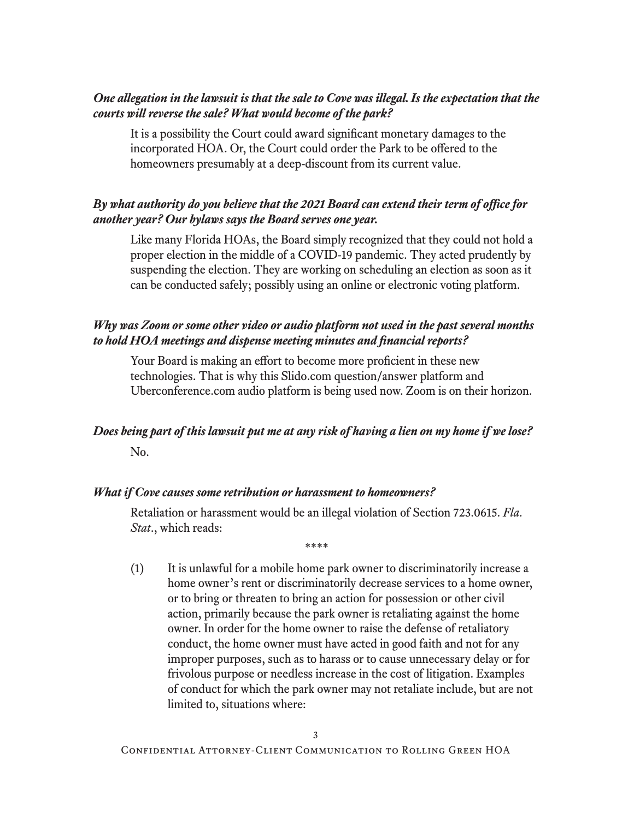### *One allegation in the lawsuit is that the sale to Cove was illegal. Is the expectation that the courts will reverse the sale? What would become of the park?*

 It is a possibility the Court could award significant monetary damages to the incorporated HOA. Or, the Court could order the Park to be offered to the homeowners presumably at a deep-discount from its current value.

## *By what authority do you believe that the 2021 Board can extend their term of office for another year? Our bylaws says the Board serves one year.*

 Like many Florida HOAs, the Board simply recognized that they could not hold a proper election in the middle of a COVID-19 pandemic. They acted prudently by suspending the election. They are working on scheduling an election as soon as it can be conducted safely; possibly using an online or electronic voting platform.

### *Why was Zoom or some other video or audio platform not used in the past several months to hold HOA meetings and dispense meeting minutes and financial reports?*

 Your Board is making an effort to become more proficient in these new technologies. That is why this Slido.com question/answer platform and Uberconference.com audio platform is being used now. Zoom is on their horizon.

# *Does being part of this lawsuit put me at any risk of having a lien on my home if we lose?* No.

#### *What if Cove causes some retribution or harassment to homeowners?*

 Retaliation or harassment would be an illegal violation of Section 723.0615. *Fla. Stat*., which reads:

\*\*\*\*

(1) It is unlawful for a mobile home park owner to discriminatorily increase a home owner's rent or discriminatorily decrease services to a home owner, or to bring or threaten to bring an action for possession or other civil action, primarily because the park owner is retaliating against the home owner. In order for the home owner to raise the defense of retaliatory conduct, the home owner must have acted in good faith and not for any improper purposes, such as to harass or to cause unnecessary delay or for frivolous purpose or needless increase in the cost of litigation. Examples of conduct for which the park owner may not retaliate include, but are not limited to, situations where: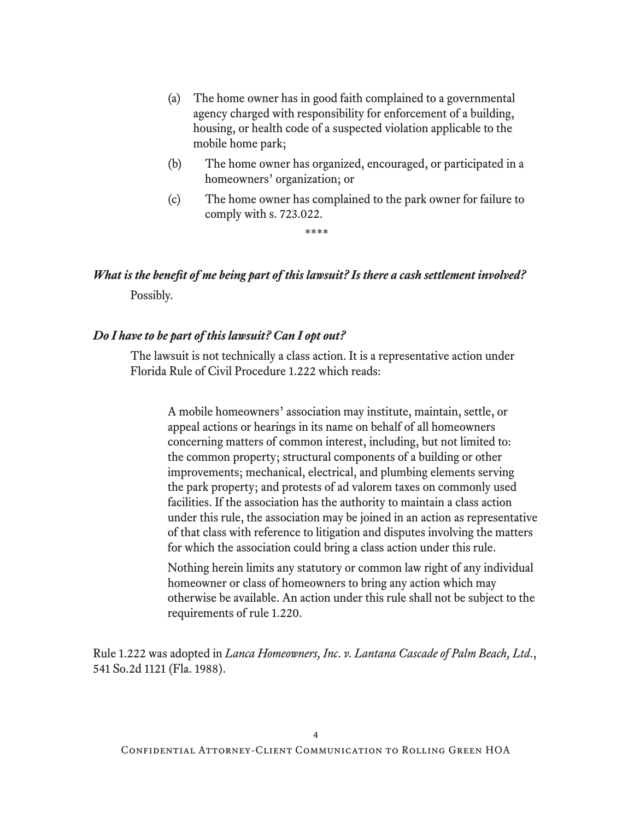- (a) The home owner has in good faith complained to a governmental agency charged with responsibility for enforcement of a building, housing, or health code of a suspected violation applicable to the mobile home park;
- (b) The home owner has organized, encouraged, or participated in a homeowners' organization; or
- (c) The home owner has complained to the park owner for failure to comply with s. 723.022.

\*\*\*\*

# *What is the benefit of me being part of this lawsuit? Is there a cash settlement involved?* Possibly.

### *Do I have to be part of this lawsuit? Can I opt out?*

 The lawsuit is not technically a class action. It is a representative action under Florida Rule of Civil Procedure 1.222 which reads:

A mobile homeowners' association may institute, maintain, settle, or appeal actions or hearings in its name on behalf of all homeowners concerning matters of common interest, including, but not limited to: the common property; structural components of a building or other improvements; mechanical, electrical, and plumbing elements serving the park property; and protests of ad valorem taxes on commonly used facilities. If the association has the authority to maintain a class action under this rule, the association may be joined in an action as representative of that class with reference to litigation and disputes involving the matters for which the association could bring a class action under this rule.

Nothing herein limits any statutory or common law right of any individual homeowner or class of homeowners to bring any action which may otherwise be available. An action under this rule shall not be subject to the requirements of rule 1.220.

Rule 1.222 was adopted in *Lanca Homeowners, Inc. v. Lantana Cascade of Palm Beach, Ltd*., 541 So.2d 1121 (Fla. 1988).